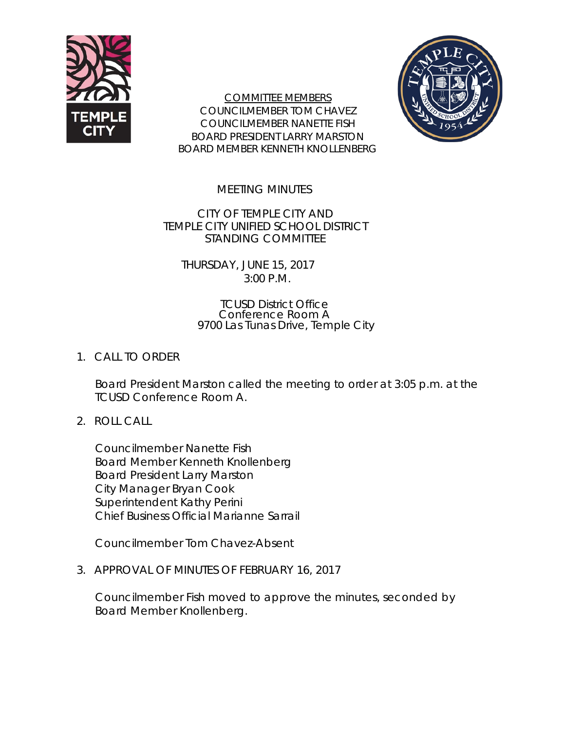

COMMITTEE MEMBERS COUNCILMEMBER TOM CHAVEZ COUNCILMEMBER NANETTE FISH BOARD PRESIDENT LARRY MARSTON BOARD MEMBER KENNETH KNOLLENBERG



MEETING MINUTES

CITY OF TEMPLE CITY AND TEMPLE CITY UNIFIED SCHOOL DISTRICT STANDING COMMITTEE

THURSDAY, JUNE 15, 2017 3:00 P.M.

#### TCUSD District Office Conference Room A 9700 Las Tunas Drive, Temple City

# 1. CALL TO ORDER

Board President Marston called the meeting to order at 3:05 p.m. at the TCUSD Conference Room A.

2. ROLL CALL

Councilmember Nanette Fish Board Member Kenneth Knollenberg Board President Larry Marston City Manager Bryan Cook Superintendent Kathy Perini Chief Business Official Marianne Sarrail

Councilmember Tom Chavez-Absent

3. APPROVAL OF MINUTES OF FEBRUARY 16, 2017

Councilmember Fish moved to approve the minutes, seconded by Board Member Knollenberg.